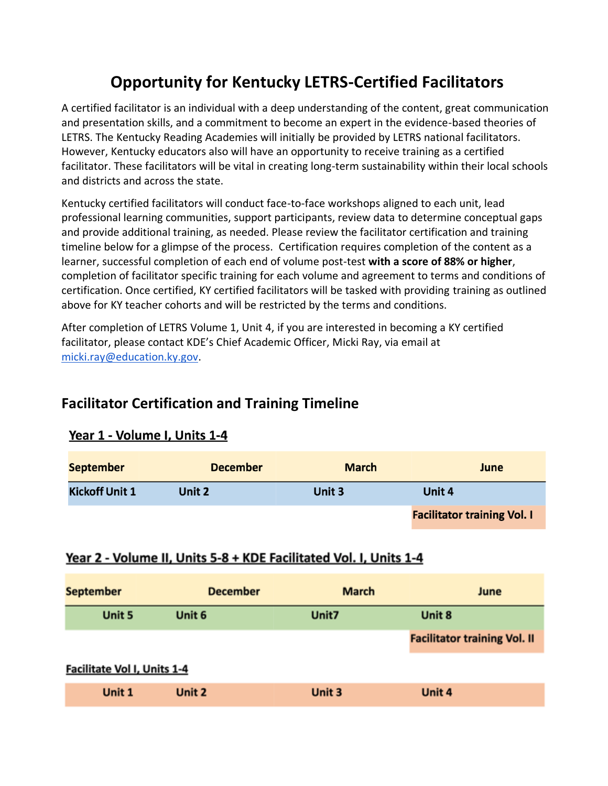# **Opportunity for Kentucky LETRS-Certified Facilitators**

A certified facilitator is an individual with a deep understanding of the content, great communication and presentation skills, and a commitment to become an expert in the evidence-based theories of LETRS. The Kentucky Reading Academies will initially be provided by LETRS national facilitators. However, Kentucky educators also will have an opportunity to receive training as a certified facilitator. These facilitators will be vital in creating long-term sustainability within their local schools and districts and across the state.

Kentucky certified facilitators will conduct face-to-face workshops aligned to each unit, lead professional learning communities, support participants, review data to determine conceptual gaps and provide additional training, as needed. Please review the facilitator certification and training timeline below for a glimpse of the process. Certification requires completion of the content as a learner, successful completion of each end of volume post-test **with a score of 88% or higher**, completion of facilitator specific training for each volume and agreement to terms and conditions of certification. Once certified, KY certified facilitators will be tasked with providing training as outlined above for KY teacher cohorts and will be restricted by the terms and conditions.

After completion of LETRS Volume 1, Unit 4, if you are interested in becoming a KY certified facilitator, please contact KDE's Chief Academic Officer, Micki Ray, via email at [micki.ray@education.ky.gov.](mailto:micki.ray@education.ky.gov)

### **Facilitator Certification and Training Timeline**

| <b>September</b>      | <b>December</b> | <b>March</b> | June                               |
|-----------------------|-----------------|--------------|------------------------------------|
| <b>Kickoff Unit 1</b> | Unit 2          | Unit 3       | Unit 4                             |
|                       |                 |              | <b>Facilitator training Vol. I</b> |

#### Year 1 - Volume I, Units 1-4

#### Year 2 - Volume II, Units 5-8 + KDE Facilitated Vol. I, Units 1-4

| <b>September</b>                   | <b>December</b> | <b>March</b> | June                                |  |  |  |
|------------------------------------|-----------------|--------------|-------------------------------------|--|--|--|
| Unit 5                             | Unit 6          | Unit7        | Unit 8                              |  |  |  |
|                                    |                 |              | <b>Facilitator training Vol. II</b> |  |  |  |
| <b>Facilitate Vol I, Units 1-4</b> |                 |              |                                     |  |  |  |
| Unit 1                             | Unit 2          | Unit 3       | Unit 4                              |  |  |  |